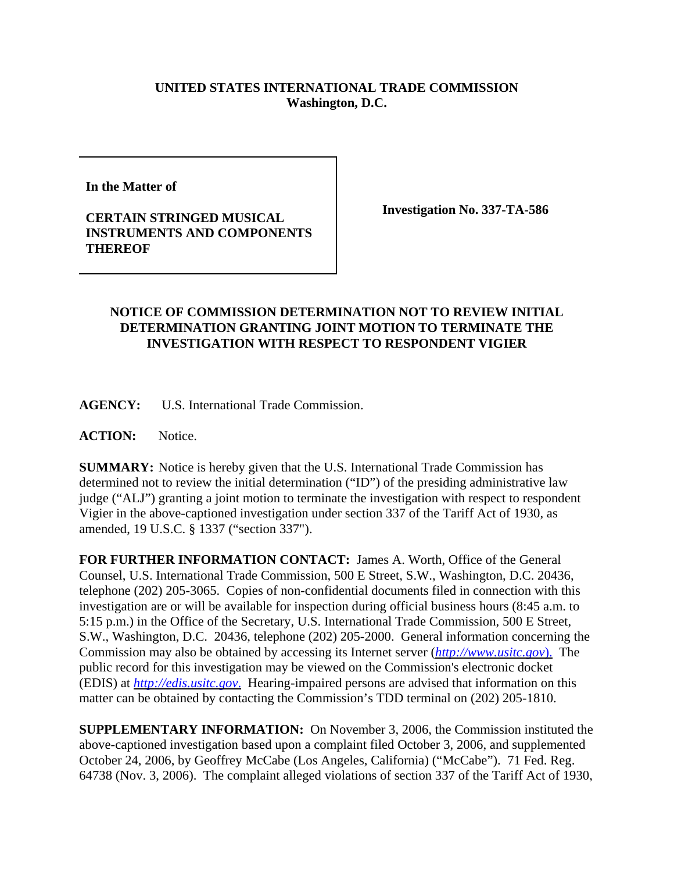## **UNITED STATES INTERNATIONAL TRADE COMMISSION Washington, D.C.**

**In the Matter of**

## **CERTAIN STRINGED MUSICAL INSTRUMENTS AND COMPONENTS THEREOF**

**Investigation No. 337-TA-586**

## **NOTICE OF COMMISSION DETERMINATION NOT TO REVIEW INITIAL DETERMINATION GRANTING JOINT MOTION TO TERMINATE THE INVESTIGATION WITH RESPECT TO RESPONDENT VIGIER**

**AGENCY:** U.S. International Trade Commission.

ACTION: Notice.

**SUMMARY:** Notice is hereby given that the U.S. International Trade Commission has determined not to review the initial determination ("ID") of the presiding administrative law judge ("ALJ") granting a joint motion to terminate the investigation with respect to respondent Vigier in the above-captioned investigation under section 337 of the Tariff Act of 1930, as amended, 19 U.S.C. § 1337 ("section 337").

**FOR FURTHER INFORMATION CONTACT:** James A. Worth, Office of the General Counsel, U.S. International Trade Commission, 500 E Street, S.W., Washington, D.C. 20436, telephone (202) 205-3065. Copies of non-confidential documents filed in connection with this investigation are or will be available for inspection during official business hours (8:45 a.m. to 5:15 p.m.) in the Office of the Secretary, U.S. International Trade Commission, 500 E Street, S.W., Washington, D.C. 20436, telephone (202) 205-2000. General information concerning the Commission may also be obtained by accessing its Internet server (*http://www.usitc.gov*). The public record for this investigation may be viewed on the Commission's electronic docket (EDIS) at *http://edis.usitc.gov*. Hearing-impaired persons are advised that information on this matter can be obtained by contacting the Commission's TDD terminal on (202) 205-1810.

**SUPPLEMENTARY INFORMATION:** On November 3, 2006, the Commission instituted the above-captioned investigation based upon a complaint filed October 3, 2006, and supplemented October 24, 2006, by Geoffrey McCabe (Los Angeles, California) ("McCabe"). 71 Fed. Reg. 64738 (Nov. 3, 2006). The complaint alleged violations of section 337 of the Tariff Act of 1930,